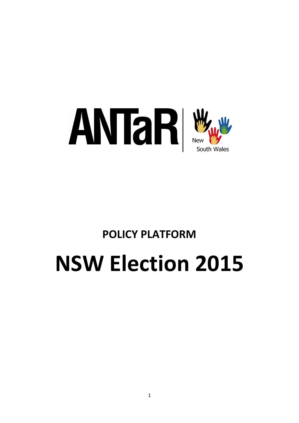

# **POLICY PLATFORM NSW Election 2015**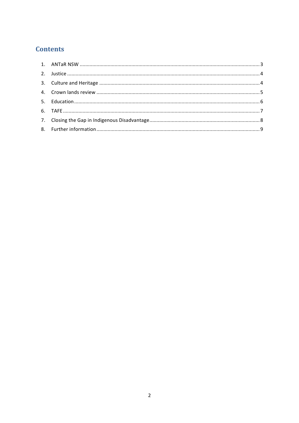# **Contents**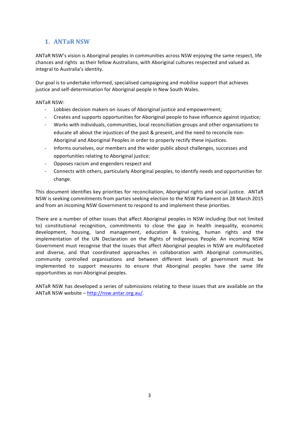# **1. ANTaR NSW**

ANTaR NSW's vision is Aboriginal peoples in communities across NSW enjoying the same respect, life chances and rights as their fellow Australians, with Aboriginal cultures respected and valued as integral to Australia's identity.

Our goal is to undertake informed, specialised campaigning and mobilise support that achieves justice and self-determination for Aboriginal people in New South Wales.

**ANTAR NSW:** 

- Lobbies decision makers on issues of Aboriginal justice and empowerment;
- Creates and supports opportunities for Aboriginal people to have influence against injustice;
- Works with individuals, communities, local reconciliation groups and other organisations to educate all about the injustices of the past & present, and the need to reconcile non-Aboriginal and Aboriginal Peoples in order to properly rectify these injustices.
- Informs ourselves, our members and the wider public about challenges, successes and opportunities relating to Aboriginal justice;
- Opposes racism and engenders respect and
- Connects with others, particularly Aboriginal peoples, to identify needs and opportunities for change.

This document identifies key priorities for reconciliation, Aboriginal rights and social justice. ANTaR NSW is seeking commitments from parties seeking election to the NSW Parliament on 28 March 2015 and from an incoming NSW Government to respond to and implement these priorities.

There are a number of other issues that affect Aboriginal peoples in NSW including (but not limited to) constitutional recognition, commitments to close the gap in health inequality, economic development, housing, land management, education & training, human rights and the implementation of the UN Declaration on the Rights of Indigenous People. An incoming NSW Government must recognise that the issues that affect Aboriginal peoples in NSW are multifaceted and diverse, and that coordinated approaches in collaboration with Aboriginal communities, community controlled organisations and between different levels of government must be implemented to support measures to ensure that Aboriginal peoples have the same life opportunities as non-Aboriginal peoples.

ANTaR NSW has developed a series of submissions relating to these issues that are available on the ANTaR NSW website - http://nsw.antar.org.au/.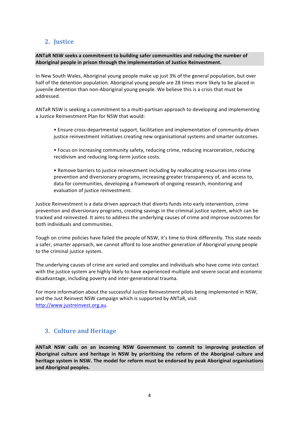# **2. Justice**

ANTaR NSW seeks a commitment to building safer communities and reducing the number of Aboriginal people in prison through the implementation of Justice Reinvestment.

In New South Wales, Aboriginal young people make up just 3% of the general population, but over half of the detention population. Aboriginal young people are 28 times more likely to be placed in juvenile detention than non-Aboriginal young people. We believe this is a crisis that must be addressed. 

ANTaR NSW is seeking a commitment to a multi-partisan approach to developing and implementing a Justice Reinvestment Plan for NSW that would:

- Ensure cross-departmental support, facilitation and implementation of community-driven justice reinvestment initiatives creating new organisational systems and smarter outcomes.
- Focus on increasing community safety, reducing crime, reducing incarceration, reducing recidivism and reducing long-term justice costs.
- Remove barriers to justice reinvestment including by reallocating resources into crime prevention and diversionary programs, increasing greater transparency of, and access to, data for communities, developing a framework of ongoing research, monitoring and evaluation of justice reinvestment.

Justice Reinvestment is a data driven approach that diverts funds into early intervention, crime prevention and diversionary programs, creating savings in the criminal justice system, which can be tracked and reinvested. It aims to address the underlying causes of crime and improve outcomes for both individuals and communities.

Tough on crime policies have failed the people of NSW, it's time to think differently. This state needs a safer, smarter approach, we cannot afford to lose another generation of Aboriginal young people to the criminal justice system.

The underlying causes of crime are varied and complex and individuals who have come into contact with the justice system are highly likely to have experienced multiple and severe social and economic disadvantage, including poverty and inter-generational trauma.

For more information about the successful Justice Reinvestment pilots being implemented in NSW, and the Just Reinvest NSW campaign which is supported by ANTaR, visit http://www.justreinvest.org.au. 

## **3. Culture and Heritage**

ANTaR NSW calls on an incoming NSW Government to commit to improving protection of Aboriginal culture and heritage in NSW by prioritising the reform of the Aboriginal culture and heritage system in NSW. The model for reform must be endorsed by peak Aboriginal organisations and Aboriginal peoples.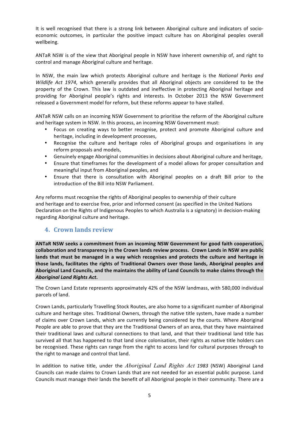It is well recognised that there is a strong link between Aboriginal culture and indicators of socioeconomic outcomes, in particular the positive impact culture has on Aboriginal peoples overall wellbeing. 

ANTaR NSW is of the view that Aboriginal people in NSW have inherent ownership of, and right to control and manage Aboriginal culture and heritage.

In NSW, the main law which protects Aboriginal culture and heritage is the *National Parks and Wildlife Act 1974*, which generally provides that all Aboriginal objects are considered to be the property of the Crown. This law is outdated and ineffective in protecting Aboriginal heritage and providing for Aboriginal people's rights and interests. In October 2013 the NSW Government released a Government model for reform, but these reforms appear to have stalled.

ANTaR NSW calls on an incoming NSW Government to prioritise the reform of the Aboriginal culture and heritage system in NSW. In this process, an incoming NSW Government must:

- Focus on creating ways to better recognise, protect and promote Aboriginal culture and heritage, including in development processes,
- Recognise the culture and heritage roles of Aboriginal groups and organisations in any reform proposals and models,
- Genuinely engage Aboriginal communities in decisions about Aboriginal culture and heritage,
- Ensure that timeframes for the development of a model allows for proper consultation and meaningful input from Aboriginal peoples, and
- Ensure that there is consultation with Aboriginal peoples on a draft Bill prior to the introduction of the Bill into NSW Parliament.

Any reforms must recognise the rights of Aboriginal peoples to ownership of their culture and heritage and to exercise free, prior and informed consent (as specified in the United Nations Declaration on the Rights of Indigenous Peoples to which Australia is a signatory) in decision-making regarding Aboriginal culture and heritage.

#### **4. Crown lands review**

ANTaR NSW seeks a commitment from an incoming NSW Government for good faith cooperation, collaboration and transparency in the Crown lands review process. Crown Lands in NSW are public lands that must be managed in a way which recognises and protects the culture and heritage in those lands, facilitates the rights of Traditional Owners over those lands, Aboriginal peoples and Aboriginal Land Councils, and the maintains the ability of Land Councils to make claims through the *Aboriginal Land Rights Act***.** 

The Crown Land Estate represents approximately 42% of the NSW landmass, with 580,000 individual parcels of land.

Crown Lands, particularly Travelling Stock Routes, are also home to a significant number of Aboriginal culture and heritage sites. Traditional Owners, through the native title system, have made a number of claims over Crown Lands, which are currently being considered by the courts. Where Aboriginal People are able to prove that they are the Traditional Owners of an area, that they have maintained their traditional laws and cultural connections to that land, and that their traditional land title has survived all that has happened to that land since colonisation, their rights as native title holders can be recognised. These rights can range from the right to access land for cultural purposes through to the right to manage and control that land.

In addition to native title, under the *Aboriginal Land Rights Act* 1983 (NSW) Aboriginal Land Councils can made claims to Crown Lands that are not needed for an essential public purpose. Land Councils must manage their lands the benefit of all Aboriginal people in their community. There are a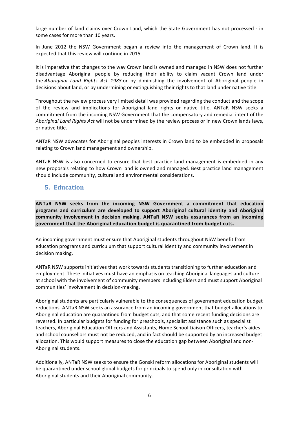large number of land claims over Crown Land, which the State Government has not processed - in some cases for more than 10 years.

In June 2012 the NSW Government began a review into the management of Crown land. It is expected that this review will continue in 2015.

It is imperative that changes to the way Crown land is owned and managed in NSW does not further disadvantage Aboriginal people by reducing their ability to claim vacant Crown land under the *Aboriginal Land Rights Act 1983* or by diminishing the involvement of Aboriginal people in decisions about land, or by undermining or extinguishing their rights to that land under native title.

Throughout the review process very limited detail was provided regarding the conduct and the scope of the review and implications for Aboriginal land rights or native title. ANTaR NSW seeks a commitment from the incoming NSW Government that the compensatory and remedial intent of the *Aboriginal Land Rights Act will not be undermined by the review process or in new Crown lands laws,* or native title.

ANTaR NSW advocates for Aboriginal peoples interests in Crown land to be embedded in proposals relating to Crown land management and ownership.

ANTaR NSW is also concerned to ensure that best practice land management is embedded in any new proposals relating to how Crown land is owned and managed. Best practice land management should include community, cultural and environmental considerations.

#### **5. Education**

ANTaR NSW seeks from the incoming NSW Government a commitment that education **programs and curriculum are developed to support Aboriginal cultural identity and Aboriginal**  community involvement in decision making. ANTaR NSW seeks assurances from an incoming government that the Aboriginal education budget is quarantined from budget cuts.

An incoming government must ensure that Aboriginal students throughout NSW benefit from education programs and curriculum that support cultural identity and community involvement in decision making.

ANTaR NSW supports initiatives that work towards students transitioning to further education and employment. These initiatives must have an emphasis on teaching Aboriginal languages and culture at school with the involvement of community members including Elders and must support Aboriginal communities' involvement in decision-making.

Aboriginal students are particularly vulnerable to the consequences of government education budget reductions. ANTaR NSW seeks an assurance from an incoming government that budget allocations to Aboriginal education are quarantined from budget cuts, and that some recent funding decisions are reversed. In particular budgets for funding for preschools, specialist assistance such as specialist teachers, Aboriginal Education Officers and Assistants, Home School Liaison Officers, teacher's aides and school counsellors must not be reduced, and in fact should be supported by an increased budget allocation. This would support measures to close the education gap between Aboriginal and non-Aboriginal students.

Additionally, ANTaR NSW seeks to ensure the Gonski reform allocations for Aboriginal students will be quarantined under school global budgets for principals to spend only in consultation with Aboriginal students and their Aboriginal community.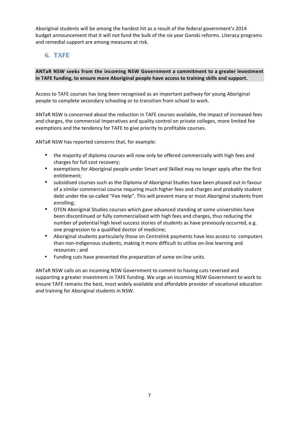Aboriginal students will be among the hardest hit as a result of the federal government's 2014 budget announcement that it will not fund the bulk of the six year Gonski reforms. Literacy programs and remedial support are among measures at risk.

# **6. TAFE**

#### ANTaR NSW seeks from the incoming NSW Government a commitment to a greater investment in TAFE funding, to ensure more Aboriginal people have access to training skills and support.

Access to TAFE courses has long been recognised as an important pathway for young Aboriginal people to complete secondary schooling or to transition from school to work.

ANTaR NSW is concerned about the reduction in TAFE courses available, the impact of increased fees and charges, the commercial imperatives and quality control on private colleges, more limited fee exemptions and the tendency for TAFE to give priority to profitable courses.

ANTaR NSW has reported concerns that, for example:

- the majority of diploma courses will now only be offered commercially with high fees and charges for full cost recovery;
- exemptions for Aboriginal people under Smart and Skilled may no longer apply after the first entitlement;
- subsidised courses such as the Diploma of Aboriginal Studies have been phased out in favour of a similar commercial course requiring much higher fees and charges and probably student debt under the so-called "Fee Help". This will prevent many or most Aboriginal students from enrolling;
- OTEN Aboriginal Studies courses which gave advanced standing at some universities have been discontinued or fully commercialised with high fees and charges, thus reducing the number of potential high level success stories of students as have previously occurred, e.g. one progression to a qualified doctor of medicine;
- Aboriginal students particularly those on Centrelink payments have less access to computers than non-Indigenous students, making it more difficult to utilise on-line learning and resources ; and
- Funding cuts have prevented the preparation of some on-line units.

ANTaR NSW calls on an incoming NSW Government to commit to having cuts reversed and supporting a greater investment in TAFE funding. We urge an incoming NSW Government to work to ensure TAFE remains the best, most widely available and affordable provider of vocational education and training for Aboriginal students in NSW.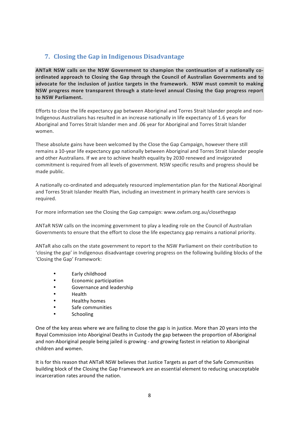# **7. Closing the Gap in Indigenous Disadvantage**

ANTaR NSW calls on the NSW Government to champion the continuation of a nationally coordinated approach to Closing the Gap through the Council of Australian Governments and to advocate for the inclusion of justice targets in the framework. NSW must commit to making NSW progress more transparent through a state-level annual Closing the Gap progress report **to NSW Parliament.**

Efforts to close the life expectancy gap between Aboriginal and Torres Strait Islander people and non-Indigenous Australians has resulted in an increase nationally in life expectancy of 1.6 years for Aboriginal and Torres Strait Islander men and .06 year for Aboriginal and Torres Strait Islander women.

These absolute gains have been welcomed by the Close the Gap Campaign, however there still remains a 10-year life expectancy gap nationally between Aboriginal and Torres Strait Islander people and other Australians. If we are to achieve health equality by 2030 renewed and invigorated commitment is required from all levels of government. NSW specific results and progress should be made public.

A nationally co-ordinated and adequately resourced implementation plan for the National Aboriginal and Torres Strait Islander Health Plan, including an investment in primary health care services is required. 

For more information see the Closing the Gap campaign: www.oxfam.org.au/closethegap

ANTaR NSW calls on the incoming government to play a leading role on the Council of Australian Governments to ensure that the effort to close the life expectancy gap remains a national priority.

ANTaR also calls on the state government to report to the NSW Parliament on their contribution to 'closing the gap' in Indigenous disadvantage covering progress on the following building blocks of the 'Closing the Gap' Framework:

- **Early childhood**
- Economic participation
- Governance and leadership
- Health
- **Healthy homes**
- Safe communities
- Schooling

One of the key areas where we are failing to close the gap is in justice. More than 20 years into the Royal Commission into Aboriginal Deaths in Custody the gap between the proportion of Aboriginal and non-Aboriginal people being jailed is growing - and growing fastest in relation to Aboriginal children and women.

It is for this reason that ANTaR NSW believes that Justice Targets as part of the Safe Communities building block of the Closing the Gap Framework are an essential element to reducing unacceptable incarceration rates around the nation.